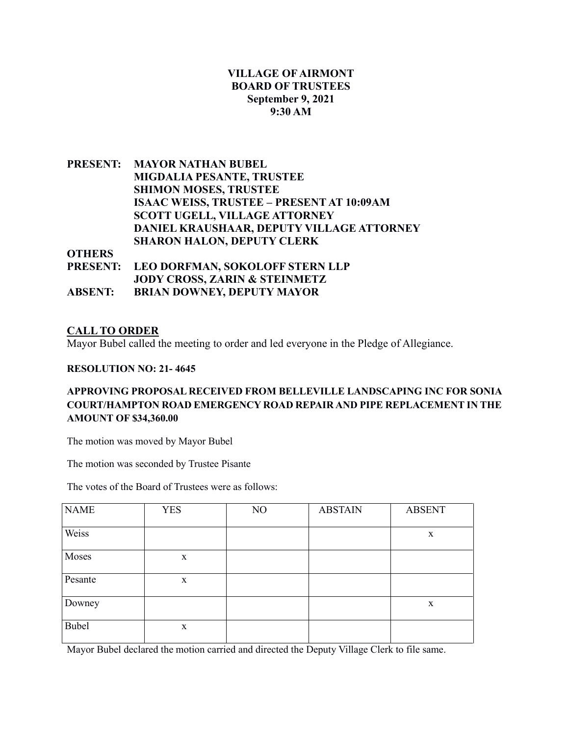# **VILLAGE OF AIRMONT BOARD OF TRUSTEES September 9, 2021 9:30 AM**

**PRESENT: MAYOR NATHAN BUBEL MIGDALIA PESANTE, TRUSTEE SHIMON MOSES, TRUSTEE ISAAC WEISS, TRUSTEE – PRESENT AT 10:09AM SCOTT UGELL, VILLAGE ATTORNEY DANIEL KRAUSHAAR, DEPUTY VILLAGE ATTORNEY SHARON HALON, DEPUTY CLERK**

**OTHERS** 

|                | PRESENT: LEO DORFMAN, SOKOLOFF STERN LLP |
|----------------|------------------------------------------|
|                | <b>JODY CROSS, ZARIN &amp; STEINMETZ</b> |
| <b>ABSENT:</b> | <b>BRIAN DOWNEY, DEPUTY MAYOR</b>        |

## **CALL TO ORDER**

Mayor Bubel called the meeting to order and led everyone in the Pledge of Allegiance.

### **RESOLUTION NO: 21- 4645**

## **APPROVING PROPOSAL RECEIVED FROM BELLEVILLE LANDSCAPING INC FOR SONIA COURT/HAMPTON ROAD EMERGENCY ROAD REPAIR AND PIPE REPLACEMENT IN THE AMOUNT OF \$34,360.00**

The motion was moved by Mayor Bubel

The motion was seconded by Trustee Pisante

The votes of the Board of Trustees were as follows:

| <b>NAME</b> | <b>YES</b>  | NO | <b>ABSTAIN</b> | <b>ABSENT</b> |
|-------------|-------------|----|----------------|---------------|
| Weiss       |             |    |                | $\mathbf X$   |
| Moses       | $\mathbf X$ |    |                |               |
| Pesante     | $\mathbf X$ |    |                |               |
| Downey      |             |    |                | $\mathbf X$   |
| Bubel       | $\mathbf X$ |    |                |               |

Mayor Bubel declared the motion carried and directed the Deputy Village Clerk to file same.